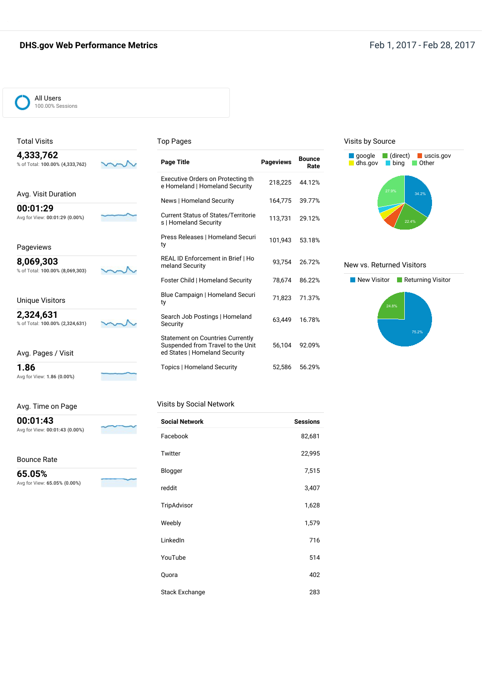#### **DHS.gov Web Performance Metrics Feb 1, 2017** - Feb 28, 2017



#### Total Visits

#### Top Pages

| 4,333,762<br>% of Total: 100.00% (4,333,762) |  |
|----------------------------------------------|--|
| Avg. Visit Duration                          |  |

**00:01:29** Avg for View: **00:01:29 (0.00%)**

Pageviews

**8,069,303** % of Total: **100.00% (8,069,303)**

 $\sim$ 

Unique Visitors

**2,324,631** % of Total: **100.00% (2,324,631)**

Avg. Pages / Visit

**1.86** Avg for View: **1.86 (0.00%)**

Avg. Time

mar

| on Page |  |  |  |
|---------|--|--|--|
|---------|--|--|--|

**00:01:43** Avg for View: **00:01:43 (0.00%)**

Bounce Rate

**65.05%** Avg for View: **65.05% (0.00%)**



| <b>Page Title</b>                                                                                             | <b>Pageviews</b> | <b>Bounce</b><br>Rate |
|---------------------------------------------------------------------------------------------------------------|------------------|-----------------------|
| Executive Orders on Protecting th<br>e Homeland   Homeland Security                                           | 218,225          | 44.12%                |
| News   Homeland Security                                                                                      | 164.775          | 39.77%                |
| <b>Current Status of States/Territorie</b><br>s   Homeland Security                                           | 113.731          | 29.12%                |
| Press Releases   Homeland Securi<br>ty                                                                        | 101,943          | 53.18%                |
| REAL ID Enforcement in Brief   Ho<br>meland Security                                                          | 93.754           | 26.72%                |
| Foster Child   Homeland Security                                                                              | 78,674           | 86.22%                |
| Blue Campaign   Homeland Securi<br>ty                                                                         | 71.823           | 71.37%                |
| Search Job Postings   Homeland<br>Security                                                                    | 63.449           | 16.78%                |
| <b>Statement on Countries Currently</b><br>Suspended from Travel to the Unit<br>ed States   Homeland Security | 56,104           | 92.09%                |
| <b>Topics   Homeland Security</b>                                                                             | 52.586           | 56.29%                |

#### Visits by Source



#### New vs. Returned Visitors



#### Visits by Social Network

| <b>Social Network</b> | <b>Sessions</b> |
|-----------------------|-----------------|
| Facebook              | 82,681          |
| Twitter               | 22,995          |
| Blogger               | 7,515           |
| reddit                | 3,407           |
| TripAdvisor           | 1,628           |
| Weebly                | 1,579           |
| LinkedIn              | 716             |
| YouTube               | 514             |
| Quora                 | 402             |
| <b>Stack Exchange</b> | 283             |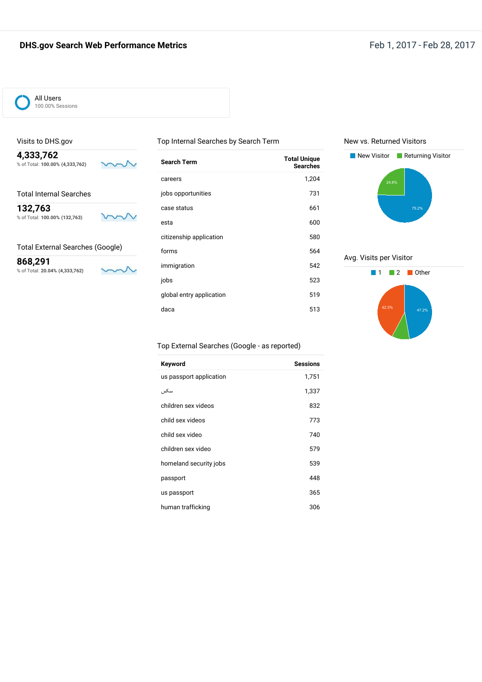#### **DHS.gov Search Web Performance Metrics Feb 1, 2017** - Feb 28, 2017



#### Visits to DHS.gov

**4,333,762** % of Total: **100.00% (4,333,762)**

w

Total Internal Searches

**132,763** % of Total: **100.00% (132,763)**



#### Total External Searches (Google)

**868,291** % of Total: **20.04% (4,333,762)**

 $\backsim$ 

| Search Term              | <b>Total Unique</b><br><b>Searches</b> |
|--------------------------|----------------------------------------|
| careers                  | 1,204                                  |
| jobs opportunities       | 731                                    |
| case status              | 661                                    |
| esta                     | 600                                    |
| citizenship application  | 580                                    |
| forms                    | 564                                    |
| immigration              | 542                                    |
| jobs                     | 523                                    |
| global entry application | 519                                    |
| daca                     | 513                                    |
|                          |                                        |

Top Internal Searches by Search Term

New vs. Returned Visitors



Avg. Visits per Visitor



#### Top External Searches (Google - as reported)

| Keyword                 | <b>Sessions</b> |
|-------------------------|-----------------|
| us passport application | 1,751           |
| سكس                     | 1,337           |
| children sex videos     | 832             |
| child sex videos        | 773             |
| child sex video         | 740             |
| children sex video      | 579             |
| homeland security jobs  | 539             |
| passport                | 448             |
| us passport             | 365             |
| human trafficking       | 306             |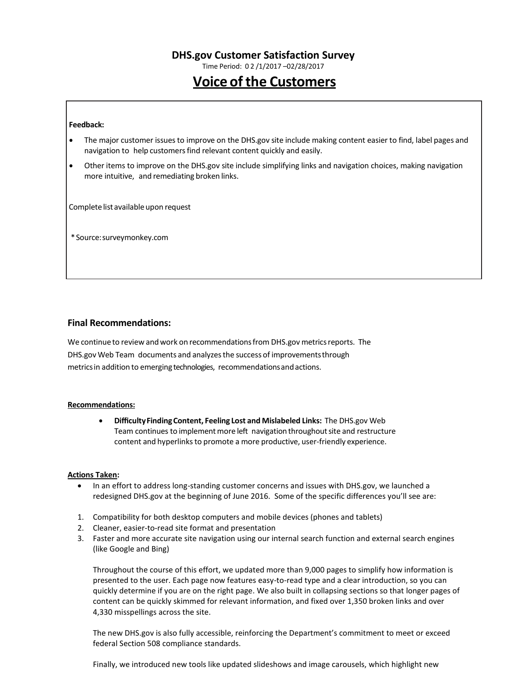Time Period: 0 2 /1/2017 –02/28/2017

# **Voice of the Customers**

#### **Feedback:**

- The major customer issuesto improve on the DHS.gov site include making content easier to find, label pages and navigation to help customers find relevant content quickly and easily.
- Other items to improve on the DHS.gov site include simplifying links and navigation choices, making navigation more intuitive, and remediating broken links.

Complete list available upon request

\*Source:surveymonkey.com

#### **Final Recommendations:**

We continue to review and work on recommendations from DHS.gov metrics reports. The DHS.gov Web Team documents and analyzesthe success of improvementsthrough metricsin addition to emerging technologies, recommendationsandactions.

#### **Recommendations:**

 **DifficultyFindingContent, Feeling Lost and Mislabeled Links:** The DHS.gov Web Team continues to implement more left navigation throughout site and restructure content and hyperlinks to promote a more productive, user-friendly experience.

#### **Actions Taken:**

- In an effort to address long-standing customer concerns and issues with DHS.gov, we launched a redesigned DHS.gov at the beginning of June 2016. Some of the specific differences you'll see are:
- 1. Compatibility for both desktop computers and mobile devices (phones and tablets)
- 2. Cleaner, easier-to-read site format and presentation
- 3. Faster and more accurate site navigation using our internal search function and external search engines (like Google and Bing)

Throughout the course of this effort, we updated more than 9,000 pages to simplify how information is presented to the user. Each page now features easy-to-read type and a clear introduction, so you can quickly determine if you are on the right page. We also built in collapsing sections so that longer pages of content can be quickly skimmed for relevant information, and fixed over 1,350 broken links and over 4,330 misspellings across the site.

The new DHS.gov is also fully accessible, reinforcing the Department's commitment to meet or exceed federal Section 508 compliance standards.

Finally, we introduced new tools like updated slideshows and image carousels, which highlight new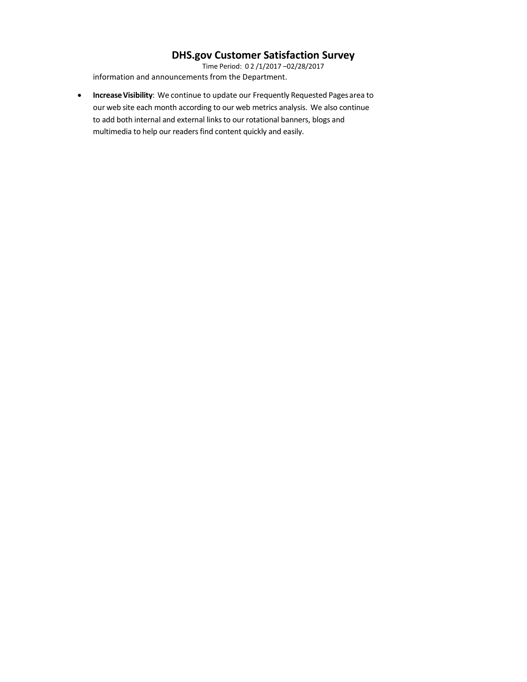Time Period: 0 2 /1/2017 –02/28/2017 information and announcements from the Department.

**Increase Visibility**: We continue to update our Frequently Requested Pages area to our web site each month according to our web metrics analysis. We also continue to add both internal and external links to our rotational banners, blogs and multimedia to help our readers find content quickly and easily.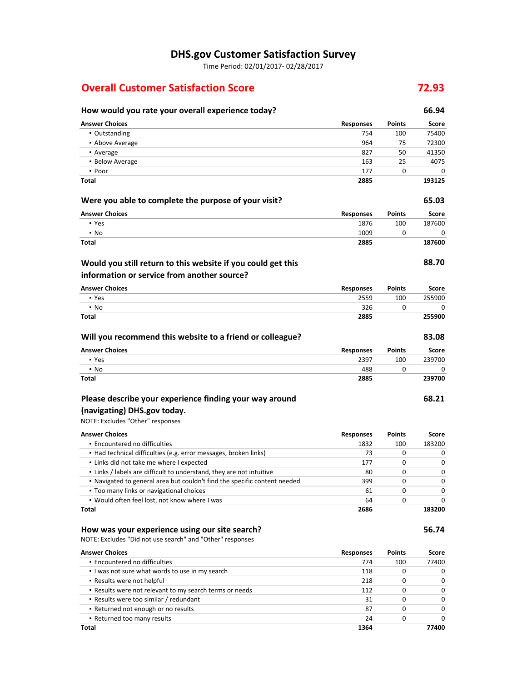Time Period: 02/01/2017- 02/28/2017

# **Overall Customer Satisfaction Score 72.93**

# **How would you rate your overall experience today? 66.94**

| <b>Answer Choices</b>                                                     | <b>Responses</b> | Points        | Score       |
|---------------------------------------------------------------------------|------------------|---------------|-------------|
| • Outstanding                                                             | 754              | 100           | 75400       |
| • Above Average                                                           | 964              | 75            | 72300       |
| • Average                                                                 | 827              | 50            | 41350       |
| • Below Average                                                           | 163              | 25            | 4075        |
| • Poor                                                                    | 177              | 0             | 0           |
| <b>Total</b>                                                              | 2885             |               | 193125      |
| Were you able to complete the purpose of your visit?                      |                  |               | 65.03       |
| <b>Answer Choices</b>                                                     | <b>Responses</b> | Points        | Score       |
| • Yes                                                                     | 1876             | 100           | 187600      |
| $\cdot$ No                                                                | 1009             | 0             | 0           |
| Total                                                                     | 2885             |               | 187600      |
| Would you still return to this website if you could get this              |                  |               | 88.70       |
| information or service from another source?                               |                  |               |             |
|                                                                           |                  |               |             |
| <b>Answer Choices</b>                                                     | <b>Responses</b> | <b>Points</b> | Score       |
| • Yes                                                                     | 2559             | 100           | 255900      |
| $\cdot$ No<br>Total                                                       | 326<br>2885      | 0             | 0<br>255900 |
|                                                                           |                  |               |             |
| Will you recommend this website to a friend or colleague?                 |                  |               | 83.08       |
| <b>Answer Choices</b>                                                     | <b>Responses</b> | Points        | Score       |
| • Yes                                                                     | 2397             | 100           | 239700      |
| $\blacksquare$ No                                                         | 488              | 0             | 0           |
| Total                                                                     | 2885             |               | 239700      |
| Please describe your experience finding your way around                   |                  |               | 68.21       |
| (navigating) DHS.gov today.                                               |                  |               |             |
| NOTE: Excludes "Other" responses                                          |                  |               |             |
|                                                                           |                  |               |             |
| <b>Answer Choices</b>                                                     | Responses        | Points        | Score       |
| • Encountered no difficulties                                             | 1832             | 100           | 183200      |
| • Had technical difficulties (e.g. error messages, broken links)          | 73               | 0             | 0           |
| . Links did not take me where I expected                                  | 177              | 0             | 0           |
| . Links / labels are difficult to understand, they are not intuitive      | 80               | 0             | 0           |
| . Navigated to general area but couldn't find the specific content needed | 399              | 0             | 0           |
| . Too many links or navigational choices                                  | 61               | 0             | 0           |
| • Would often feel lost, not know where I was<br>Total                    | 64<br>2686       | 0             | 0<br>183200 |
|                                                                           |                  |               |             |
| How was your experience using our site search?                            |                  |               | 56.74       |
| NOTE: Excludes "Did not use search" and "Other" responses                 |                  |               |             |
| <b>Answer Choices</b>                                                     | <b>Responses</b> | <b>Points</b> | Score       |
| · Encountered no difficulties                                             | 774              | 100           | 77400       |
| . I was not sure what words to use in my search                           | 118              | 0             | 0           |
| • Results were not helpful                                                | 218              | 0             | 0           |
| . Results were not relevant to my search terms or needs                   | 112              | 0             | 0           |
| - Results were too similar / redundant                                    | 31               | 0             | 0           |
| • Returned not enough or no results                                       | 87               | 0             | 0           |
| . Returned too many results                                               | 24               | 0             | 0           |